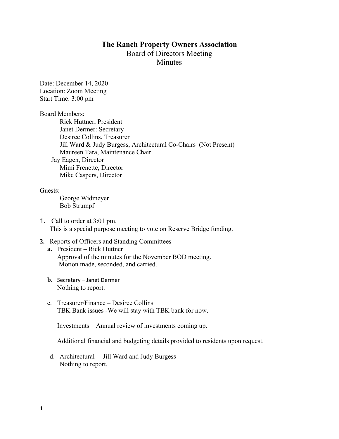## **The Ranch Property Owners Association** Board of Directors Meeting **Minutes**

Date: December 14, 2020 Location: Zoom Meeting Start Time: 3:00 pm

Board Members:

Rick Huttner, President Janet Dermer: Secretary Desiree Collins, Treasurer Jill Ward & Judy Burgess, Architectural Co-Chairs (Not Present) Maureen Tara, Maintenance Chair Jay Eagen, Director Mimi Frenette, Director Mike Caspers, Director

Guests:

George Widmeyer Bob Strumpf

1. Call to order at 3:01 pm. This is a special purpose meeting to vote on Reserve Bridge funding.

## **2.** Reports of Officers and Standing Committees

- **a.** President Rick Huttner Approval of the minutes for the November BOD meeting. Motion made, seconded, and carried.
- **b.** Secretary Janet Dermer Nothing to report.
- c. Treasurer/Finance Desiree Collins TBK Bank issues -We will stay with TBK bank for now.

Investments – Annual review of investments coming up.

Additional financial and budgeting details provided to residents upon request.

d. Architectural – Jill Ward and Judy Burgess Nothing to report.